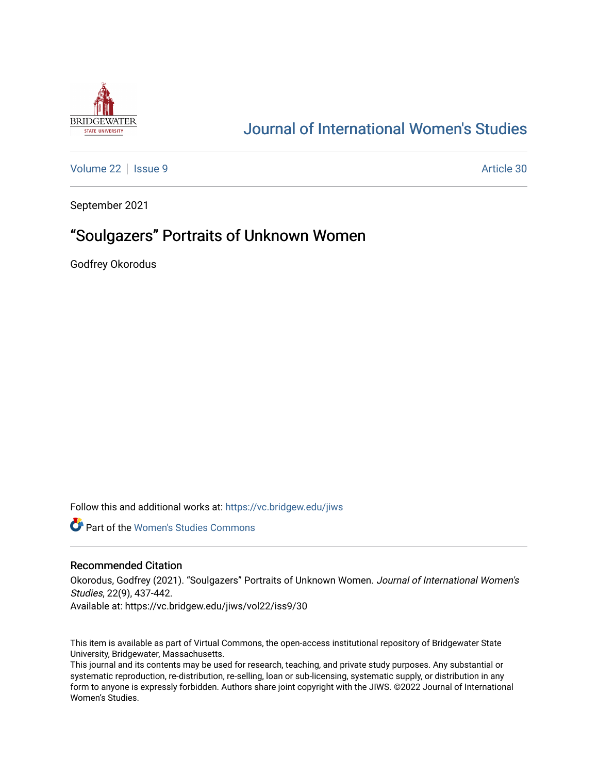

# [Journal of International Women's Studies](https://vc.bridgew.edu/jiws)

[Volume 22](https://vc.bridgew.edu/jiws/vol22) | [Issue 9](https://vc.bridgew.edu/jiws/vol22/iss9) Article 30

September 2021

# "Soulgazers" Portraits of Unknown Women

Godfrey Okorodus

Follow this and additional works at: [https://vc.bridgew.edu/jiws](https://vc.bridgew.edu/jiws?utm_source=vc.bridgew.edu%2Fjiws%2Fvol22%2Fiss9%2F30&utm_medium=PDF&utm_campaign=PDFCoverPages)

**C** Part of the Women's Studies Commons

### Recommended Citation

Okorodus, Godfrey (2021). "Soulgazers" Portraits of Unknown Women. Journal of International Women's Studies, 22(9), 437-442.

Available at: https://vc.bridgew.edu/jiws/vol22/iss9/30

This item is available as part of Virtual Commons, the open-access institutional repository of Bridgewater State University, Bridgewater, Massachusetts.

This journal and its contents may be used for research, teaching, and private study purposes. Any substantial or systematic reproduction, re-distribution, re-selling, loan or sub-licensing, systematic supply, or distribution in any form to anyone is expressly forbidden. Authors share joint copyright with the JIWS. ©2022 Journal of International Women's Studies.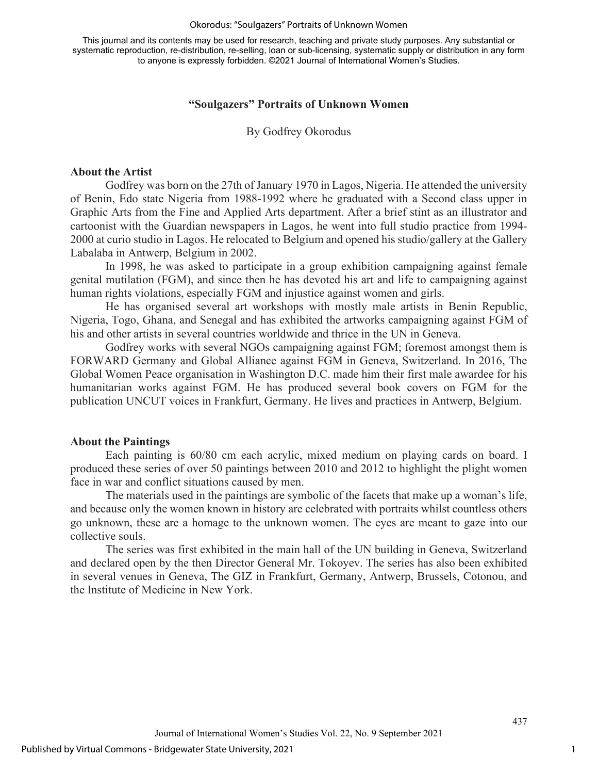#### Okorodus: "Soulgazers" Portraits of Unknown Women

This journal and its contents may be used for research, teaching and private study purposes. Any substantial or systematic reproduction, re-distribution, re-selling, loan or sub-licensing, systematic supply or distribution in any form to anyone is expressly forbidden. ©2021 Journal of International Women's Studies.

# **"Soulgazers" Portraits of Unknown Women**

### By Godfrey Okorodus

## **About the Artist**

Godfrey was born on the 27th of January 1970 in Lagos, Nigeria. He attended the university of Benin, Edo state Nigeria from 1988-1992 where he graduated with a Second class upper in Graphic Arts from the Fine and Applied Arts department. After a brief stint as an illustrator and cartoonist with the Guardian newspapers in Lagos, he went into full studio practice from 1994- 2000 at curio studio in Lagos. He relocated to Belgium and opened his studio/gallery at the Gallery Labalaba in Antwerp, Belgium in 2002.

In 1998, he was asked to participate in a group exhibition campaigning against female genital mutilation (FGM), and since then he has devoted his art and life to campaigning against human rights violations, especially FGM and injustice against women and girls.

He has organised several art workshops with mostly male artists in Benin Republic, Nigeria, Togo, Ghana, and Senegal and has exhibited the artworks campaigning against FGM of his and other artists in several countries worldwide and thrice in the UN in Geneva.

Godfrey works with several NGOs campaigning against FGM; foremost amongst them is FORWARD Germany and Global Alliance against FGM in Geneva, Switzerland. In 2016, The Global Women Peace organisation in Washington D.C. made him their first male awardee for his humanitarian works against FGM. He has produced several book covers on FGM for the publication UNCUT voices in Frankfurt, Germany. He lives and practices in Antwerp, Belgium.

### **About the Paintings**

Each painting is 60/80 cm each acrylic, mixed medium on playing cards on board. I produced these series of over 50 paintings between 2010 and 2012 to highlight the plight women face in war and conflict situations caused by men.

The materials used in the paintings are symbolic of the facets that make up a woman's life, and because only the women known in history are celebrated with portraits whilst countless others go unknown, these are a homage to the unknown women. The eyes are meant to gaze into our collective souls.

The series was first exhibited in the main hall of the UN building in Geneva, Switzerland and declared open by the then Director General Mr. Tokoyev. The series has also been exhibited in several venues in Geneva, The GIZ in Frankfurt, Germany, Antwerp, Brussels, Cotonou, and the Institute of Medicine in New York.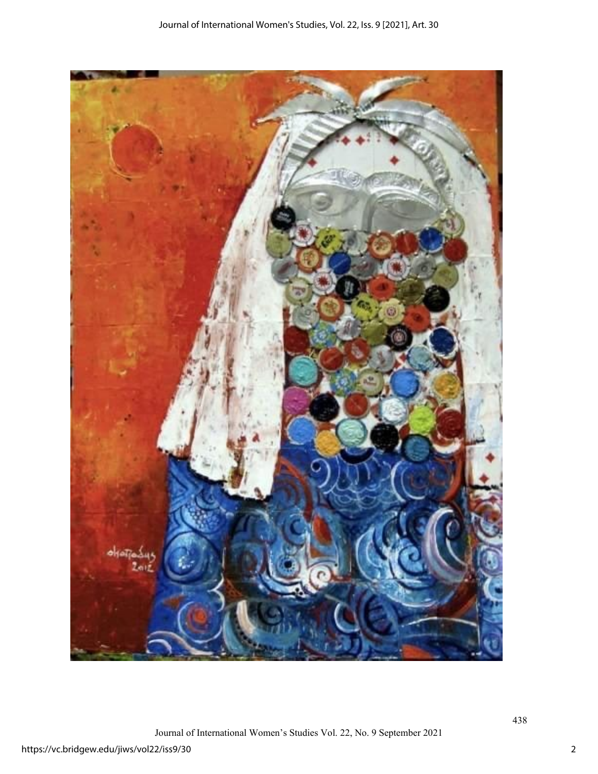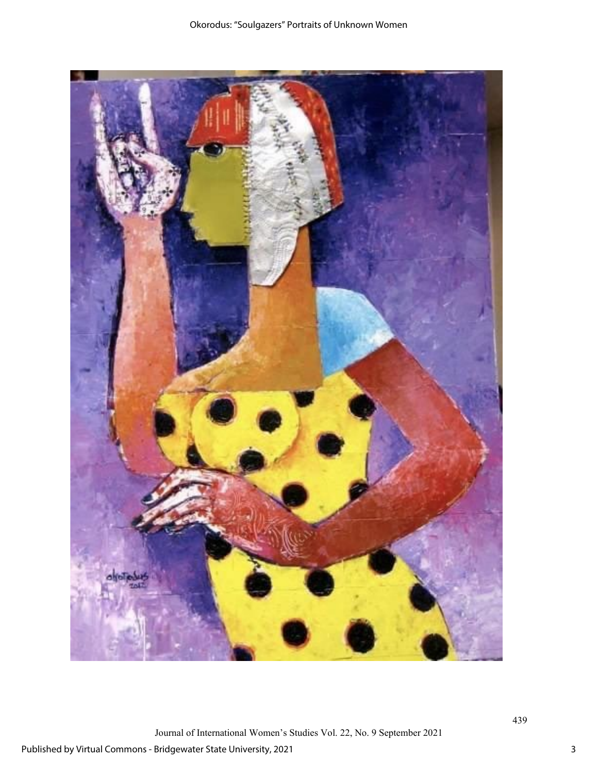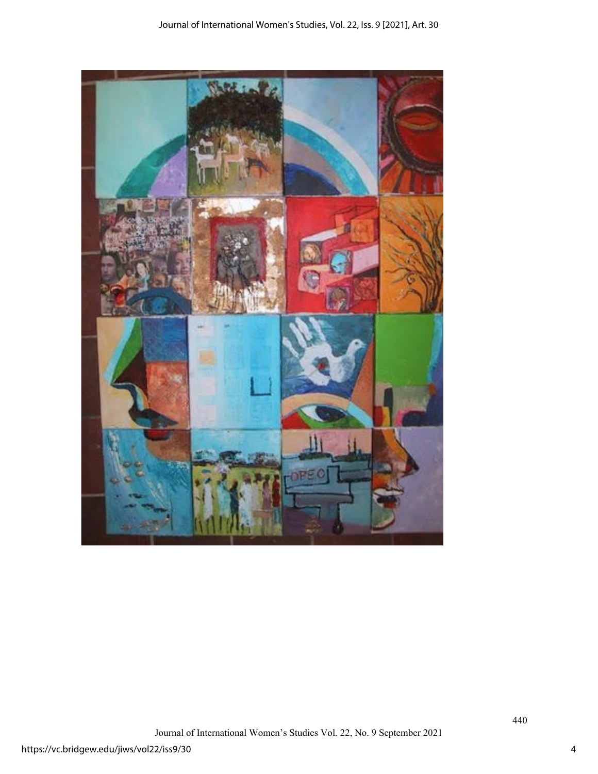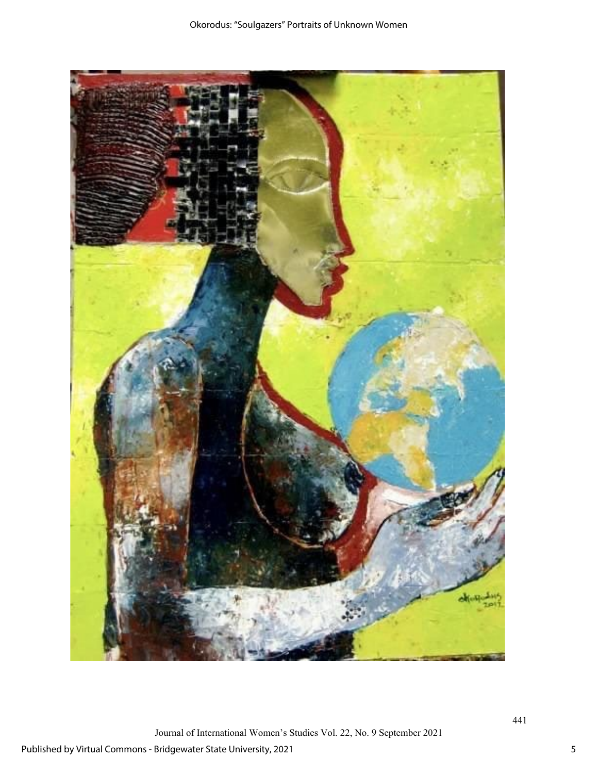